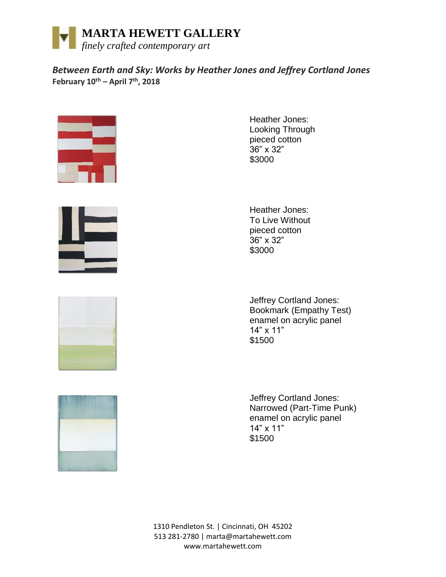

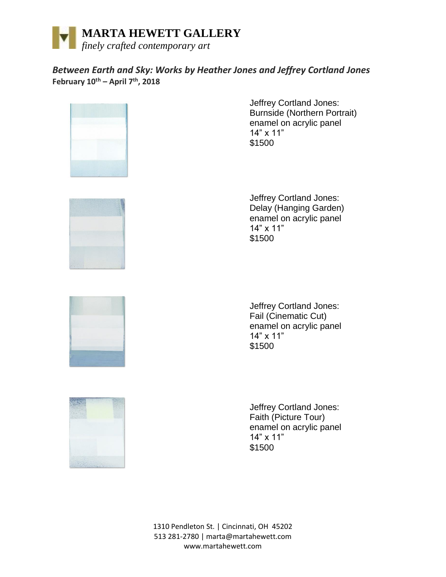



Jeffrey Cortland Jones: Burnside (Northern Portrait) enamel on acrylic panel 14" x 11" \$1500



Jeffrey Cortland Jones: Delay (Hanging Garden) enamel on acrylic panel 14" x 11" \$1500



Jeffrey Cortland Jones: Fail (Cinematic Cut) enamel on acrylic panel 14" x 11" \$1500



Jeffrey Cortland Jones: Faith (Picture Tour) enamel on acrylic panel 14" x 11" \$1500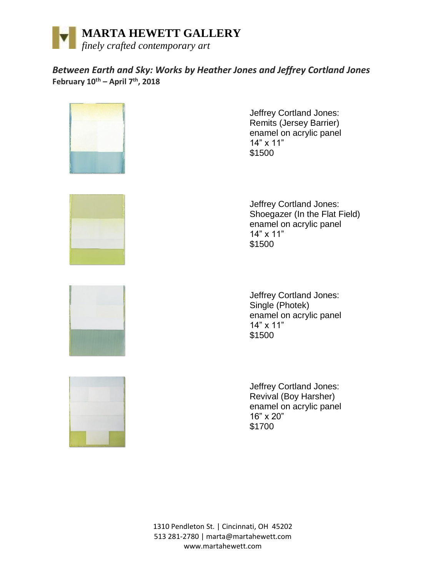



Jeffrey Cortland Jones: Remits (Jersey Barrier) enamel on acrylic panel 14" x 11" \$1500



Jeffrey Cortland Jones: Shoegazer (In the Flat Field) enamel on acrylic panel 14" x 11" \$1500





Jeffrey Cortland Jones: Single (Photek) enamel on acrylic panel 14" x 11" \$1500

Jeffrey Cortland Jones: Revival (Boy Harsher) enamel on acrylic panel 16" x 20" \$1700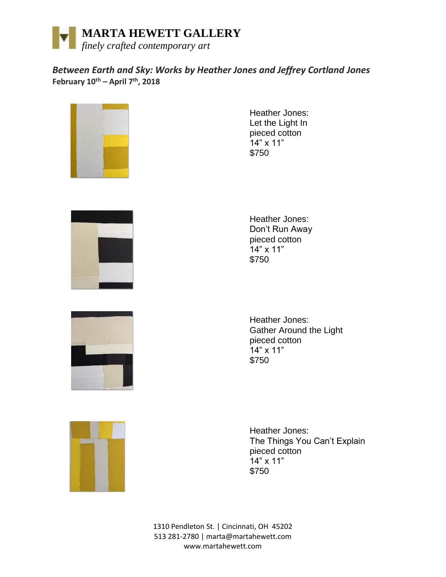



Heather Jones: Let the Light In pieced cotton  $14"$  x 11" \$750



Heather Jones: Don't Run Away pieced cotton 14" x 11" \$750



Heather Jones: Gather Around the Light pieced cotton 14" x 11" \$750



Heather Jones: The Things You Can't Explain pieced cotton 14" x 11" \$750